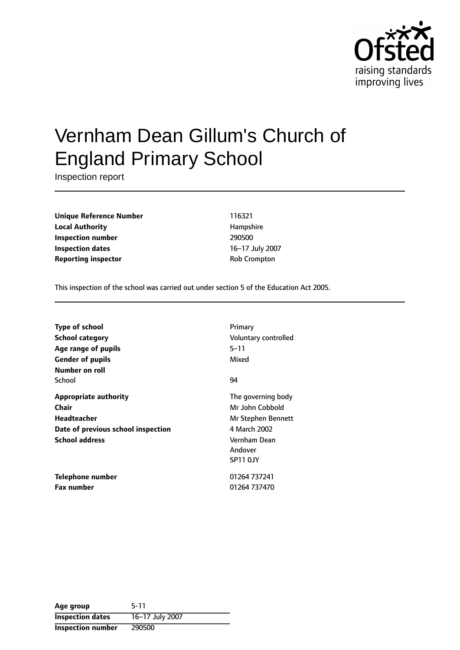

# Vernham Dean Gillum's Church of England Primary School

Inspection report

**Unique Reference Number** 116321 **Local Authority Hampshire Inspection number** 290500 **Inspection dates** 16-17 July 2007 **Reporting inspector COVID-COVID-COVID-COVID-COVID-COVID-COVID-COVID-COVID-COVID-COVID-COVID-COVID-COVID-COVID-COVID-COVID-COVID-COVID-COVID-COVID-COVID-COVID-COVID-COVID-COVID-COVID-COVID-COVID-COVID-COVID-COVID-COVID-C** 

This inspection of the school was carried out under section 5 of the Education Act 2005.

| <b>Type of school</b><br><b>School category</b> | Primary<br>Voluntary controlled     |
|-------------------------------------------------|-------------------------------------|
| Age range of pupils                             | $5 - 11$                            |
| <b>Gender of pupils</b>                         | Mixed                               |
| Number on roll                                  |                                     |
| School                                          | 94                                  |
| <b>Appropriate authority</b>                    | The governing body                  |
| Chair                                           | Mr John Cobbold                     |
| Headteacher                                     | Mr Stephen Bennett                  |
| Date of previous school inspection              | 4 March 2002                        |
| <b>School address</b>                           | Vernham Dean<br>Andover<br>SP11 OJY |
| Telephone number                                | 01264 737241                        |
| <b>Fax number</b>                               | 01264 737470                        |

| Age group                | 5-11            |
|--------------------------|-----------------|
| <b>Inspection dates</b>  | 16-17 July 2007 |
| <b>Inspection number</b> | 290500          |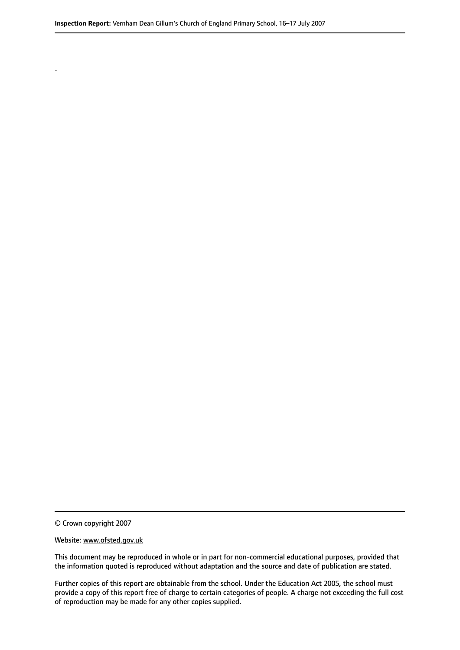© Crown copyright 2007

.

#### Website: www.ofsted.gov.uk

This document may be reproduced in whole or in part for non-commercial educational purposes, provided that the information quoted is reproduced without adaptation and the source and date of publication are stated.

Further copies of this report are obtainable from the school. Under the Education Act 2005, the school must provide a copy of this report free of charge to certain categories of people. A charge not exceeding the full cost of reproduction may be made for any other copies supplied.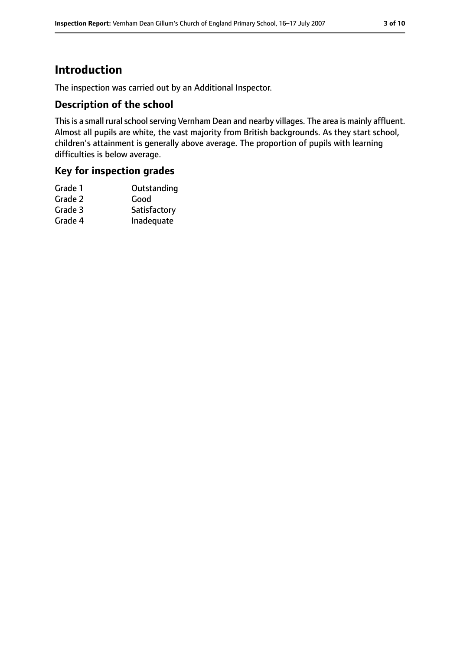# **Introduction**

The inspection was carried out by an Additional Inspector.

#### **Description of the school**

This is a small rural school serving Vernham Dean and nearby villages. The area is mainly affluent. Almost all pupils are white, the vast majority from British backgrounds. As they start school, children's attainment is generally above average. The proportion of pupils with learning difficulties is below average.

#### **Key for inspection grades**

| Grade 1 | Outstanding  |
|---------|--------------|
| Grade 2 | Good         |
| Grade 3 | Satisfactory |
| Grade 4 | Inadequate   |
|         |              |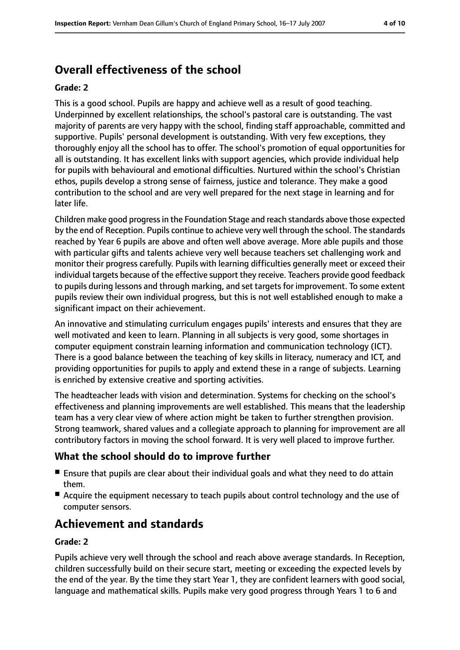# **Overall effectiveness of the school**

#### **Grade: 2**

This is a good school. Pupils are happy and achieve well as a result of good teaching. Underpinned by excellent relationships, the school's pastoral care is outstanding. The vast majority of parents are very happy with the school, finding staff approachable, committed and supportive. Pupils' personal development is outstanding. With very few exceptions, they thoroughly enjoy all the school has to offer. The school's promotion of equal opportunities for all is outstanding. It has excellent links with support agencies, which provide individual help for pupils with behavioural and emotional difficulties. Nurtured within the school's Christian ethos, pupils develop a strong sense of fairness, justice and tolerance. They make a good contribution to the school and are very well prepared for the next stage in learning and for later life.

Children make good progressin the Foundation Stage and reach standards above those expected by the end of Reception. Pupils continue to achieve very well through the school. The standards reached by Year 6 pupils are above and often well above average. More able pupils and those with particular gifts and talents achieve very well because teachers set challenging work and monitor their progress carefully. Pupils with learning difficulties generally meet or exceed their individual targets because of the effective support they receive. Teachers provide good feedback to pupils during lessons and through marking, and set targets for improvement. To some extent pupils review their own individual progress, but this is not well established enough to make a significant impact on their achievement.

An innovative and stimulating curriculum engages pupils' interests and ensures that they are well motivated and keen to learn. Planning in all subjects is very good, some shortages in computer equipment constrain learning information and communication technology (ICT). There is a good balance between the teaching of key skills in literacy, numeracy and ICT, and providing opportunities for pupils to apply and extend these in a range of subjects. Learning is enriched by extensive creative and sporting activities.

The headteacher leads with vision and determination. Systems for checking on the school's effectiveness and planning improvements are well established. This means that the leadership team has a very clear view of where action might be taken to further strengthen provision. Strong teamwork, shared values and a collegiate approach to planning for improvement are all contributory factors in moving the school forward. It is very well placed to improve further.

#### **What the school should do to improve further**

- Ensure that pupils are clear about their individual goals and what they need to do attain them.
- Acquire the equipment necessary to teach pupils about control technology and the use of computer sensors.

# **Achievement and standards**

#### **Grade: 2**

Pupils achieve very well through the school and reach above average standards. In Reception, children successfully build on their secure start, meeting or exceeding the expected levels by the end of the year. By the time they start Year 1, they are confident learners with good social, language and mathematical skills. Pupils make very good progress through Years 1 to 6 and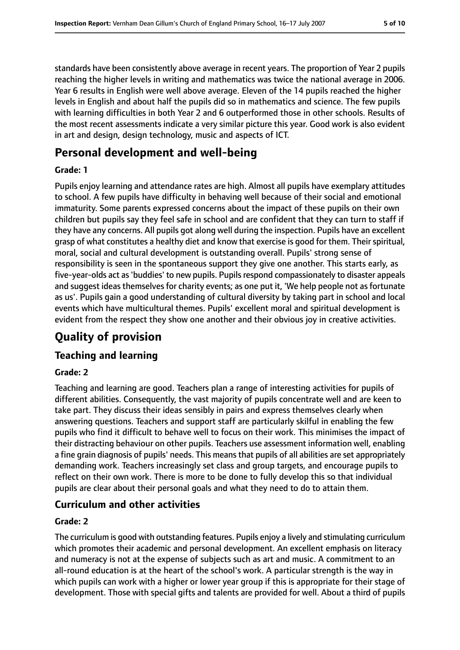standards have been consistently above average in recent years. The proportion of Year 2 pupils reaching the higher levels in writing and mathematics was twice the national average in 2006. Year 6 results in English were well above average. Eleven of the 14 pupils reached the higher levels in English and about half the pupils did so in mathematics and science. The few pupils with learning difficulties in both Year 2 and 6 outperformed those in other schools. Results of the most recent assessments indicate a very similar picture this year. Good work is also evident in art and design, design technology, music and aspects of ICT.

## **Personal development and well-being**

#### **Grade: 1**

Pupils enjoy learning and attendance rates are high. Almost all pupils have exemplary attitudes to school. A few pupils have difficulty in behaving well because of their social and emotional immaturity. Some parents expressed concerns about the impact of these pupils on their own children but pupils say they feel safe in school and are confident that they can turn to staff if they have any concerns. All pupils got along well during the inspection. Pupils have an excellent grasp of what constitutes a healthy diet and know that exercise is good for them. Their spiritual, moral, social and cultural development is outstanding overall. Pupils' strong sense of responsibility is seen in the spontaneous support they give one another. This starts early, as five-year-olds act as'buddies' to new pupils. Pupilsrespond compassionately to disaster appeals and suggest ideas themselves for charity events; as one put it, 'We help people not as fortunate as us'. Pupils gain a good understanding of cultural diversity by taking part in school and local events which have multicultural themes. Pupils' excellent moral and spiritual development is evident from the respect they show one another and their obvious joy in creative activities.

# **Quality of provision**

#### **Teaching and learning**

#### **Grade: 2**

Teaching and learning are good. Teachers plan a range of interesting activities for pupils of different abilities. Consequently, the vast majority of pupils concentrate well and are keen to take part. They discuss their ideas sensibly in pairs and express themselves clearly when answering questions. Teachers and support staff are particularly skilful in enabling the few pupils who find it difficult to behave well to focus on their work. This minimises the impact of their distracting behaviour on other pupils. Teachers use assessment information well, enabling a fine grain diagnosis of pupils' needs. This meansthat pupils of all abilities are set appropriately demanding work. Teachers increasingly set class and group targets, and encourage pupils to reflect on their own work. There is more to be done to fully develop this so that individual pupils are clear about their personal goals and what they need to do to attain them.

#### **Curriculum and other activities**

#### **Grade: 2**

The curriculum is good with outstanding features. Pupils enjoy a lively and stimulating curriculum which promotes their academic and personal development. An excellent emphasis on literacy and numeracy is not at the expense of subjects such as art and music. A commitment to an all-round education is at the heart of the school's work. A particular strength is the way in which pupils can work with a higher or lower year group if this is appropriate for their stage of development. Those with special gifts and talents are provided for well. About a third of pupils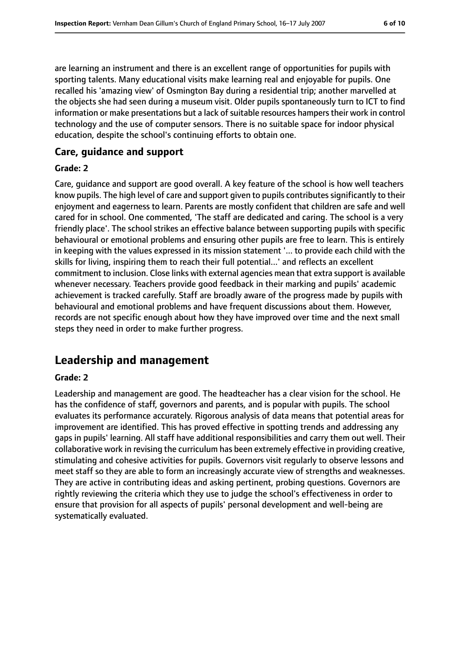are learning an instrument and there is an excellent range of opportunities for pupils with sporting talents. Many educational visits make learning real and enjoyable for pupils. One recalled his 'amazing view' of Osmington Bay during a residential trip; another marvelled at the objects she had seen during a museum visit. Older pupils spontaneously turn to ICT to find information or make presentations but a lack of suitable resources hampers their work in control technology and the use of computer sensors. There is no suitable space for indoor physical education, despite the school's continuing efforts to obtain one.

#### **Care, guidance and support**

#### **Grade: 2**

Care, guidance and support are good overall. A key feature of the school is how well teachers know pupils. The high level of care and support given to pupils contributes significantly to their enjoyment and eagerness to learn. Parents are mostly confident that children are safe and well cared for in school. One commented, 'The staff are dedicated and caring. The school is a very friendly place'. The school strikes an effective balance between supporting pupils with specific behavioural or emotional problems and ensuring other pupils are free to learn. This is entirely in keeping with the values expressed in its mission statement '... to provide each child with the skills for living, inspiring them to reach their full potential...' and reflects an excellent commitment to inclusion. Close links with external agencies mean that extra support is available whenever necessary. Teachers provide good feedback in their marking and pupils' academic achievement is tracked carefully. Staff are broadly aware of the progress made by pupils with behavioural and emotional problems and have frequent discussions about them. However, records are not specific enough about how they have improved over time and the next small steps they need in order to make further progress.

### **Leadership and management**

#### **Grade: 2**

Leadership and management are good. The headteacher has a clear vision for the school. He has the confidence of staff, governors and parents, and is popular with pupils. The school evaluates its performance accurately. Rigorous analysis of data means that potential areas for improvement are identified. This has proved effective in spotting trends and addressing any gaps in pupils' learning. All staff have additional responsibilities and carry them out well. Their collaborative work in revising the curriculum has been extremely effective in providing creative, stimulating and cohesive activities for pupils. Governors visit regularly to observe lessons and meet staff so they are able to form an increasingly accurate view of strengths and weaknesses. They are active in contributing ideas and asking pertinent, probing questions. Governors are rightly reviewing the criteria which they use to judge the school's effectiveness in order to ensure that provision for all aspects of pupils' personal development and well-being are systematically evaluated.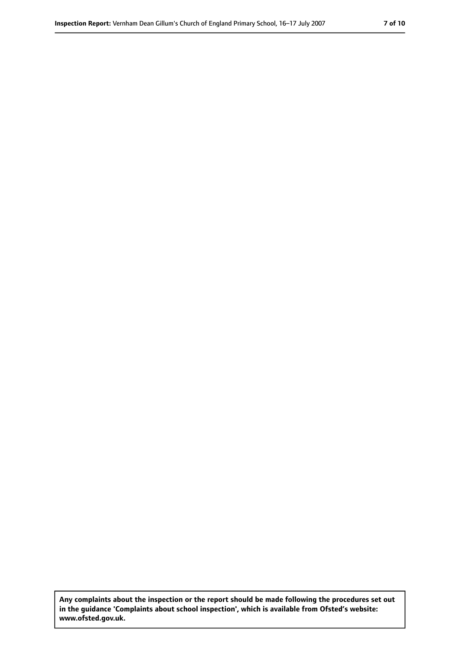**Any complaints about the inspection or the report should be made following the procedures set out in the guidance 'Complaints about school inspection', which is available from Ofsted's website: www.ofsted.gov.uk.**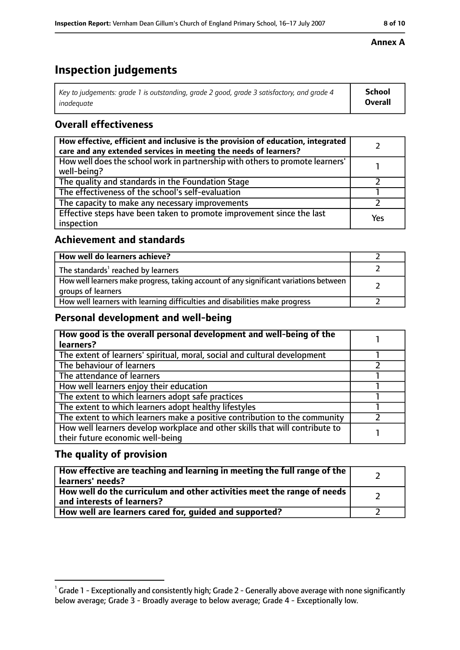# **Inspection judgements**

| $^\dagger$ Key to judgements: grade 1 is outstanding, grade 2 good, grade 3 satisfactory, and grade 4 | <b>School</b>  |
|-------------------------------------------------------------------------------------------------------|----------------|
| inadeauate                                                                                            | <b>Overall</b> |

### **Overall effectiveness**

| How effective, efficient and inclusive is the provision of education, integrated<br>care and any extended services in meeting the needs of learners? |     |
|------------------------------------------------------------------------------------------------------------------------------------------------------|-----|
| How well does the school work in partnership with others to promote learners'<br>well-being?                                                         |     |
| The quality and standards in the Foundation Stage                                                                                                    |     |
| The effectiveness of the school's self-evaluation                                                                                                    |     |
| The capacity to make any necessary improvements                                                                                                      |     |
| Effective steps have been taken to promote improvement since the last<br>inspection                                                                  | Yes |

### **Achievement and standards**

| How well do learners achieve?                                                                               |  |
|-------------------------------------------------------------------------------------------------------------|--|
| The standards <sup>1</sup> reached by learners                                                              |  |
| How well learners make progress, taking account of any significant variations between<br>groups of learners |  |
| How well learners with learning difficulties and disabilities make progress                                 |  |

#### **Personal development and well-being**

| How good is the overall personal development and well-being of the<br>learners?                                  |  |
|------------------------------------------------------------------------------------------------------------------|--|
| The extent of learners' spiritual, moral, social and cultural development                                        |  |
| The behaviour of learners                                                                                        |  |
| The attendance of learners                                                                                       |  |
| How well learners enjoy their education                                                                          |  |
| The extent to which learners adopt safe practices                                                                |  |
| The extent to which learners adopt healthy lifestyles                                                            |  |
| The extent to which learners make a positive contribution to the community                                       |  |
| How well learners develop workplace and other skills that will contribute to<br>their future economic well-being |  |

### **The quality of provision**

| How effective are teaching and learning in meeting the full range of the<br>learners' needs?          |  |
|-------------------------------------------------------------------------------------------------------|--|
| How well do the curriculum and other activities meet the range of needs<br>and interests of learners? |  |
| How well are learners cared for, guided and supported?                                                |  |

#### **Annex A**

 $^1$  Grade 1 - Exceptionally and consistently high; Grade 2 - Generally above average with none significantly below average; Grade 3 - Broadly average to below average; Grade 4 - Exceptionally low.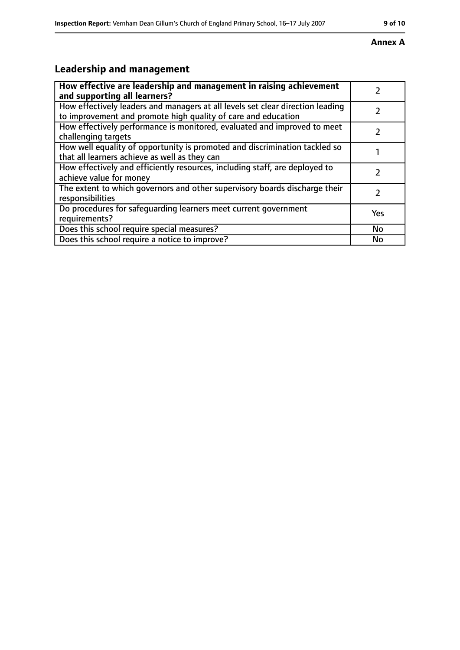# **Leadership and management**

| How effective are leadership and management in raising achievement<br>and supporting all learners?                                              |               |
|-------------------------------------------------------------------------------------------------------------------------------------------------|---------------|
| How effectively leaders and managers at all levels set clear direction leading<br>to improvement and promote high quality of care and education |               |
| How effectively performance is monitored, evaluated and improved to meet<br>challenging targets                                                 |               |
| How well equality of opportunity is promoted and discrimination tackled so<br>that all learners achieve as well as they can                     |               |
| How effectively and efficiently resources, including staff, are deployed to<br>achieve value for money                                          | $\mathcal{P}$ |
| The extent to which governors and other supervisory boards discharge their<br>responsibilities                                                  | $\mathcal{L}$ |
| Do procedures for safequarding learners meet current government<br>requirements?                                                                | <b>Yes</b>    |
| Does this school require special measures?                                                                                                      | <b>No</b>     |
| Does this school require a notice to improve?                                                                                                   | <b>No</b>     |

## **Annex A**